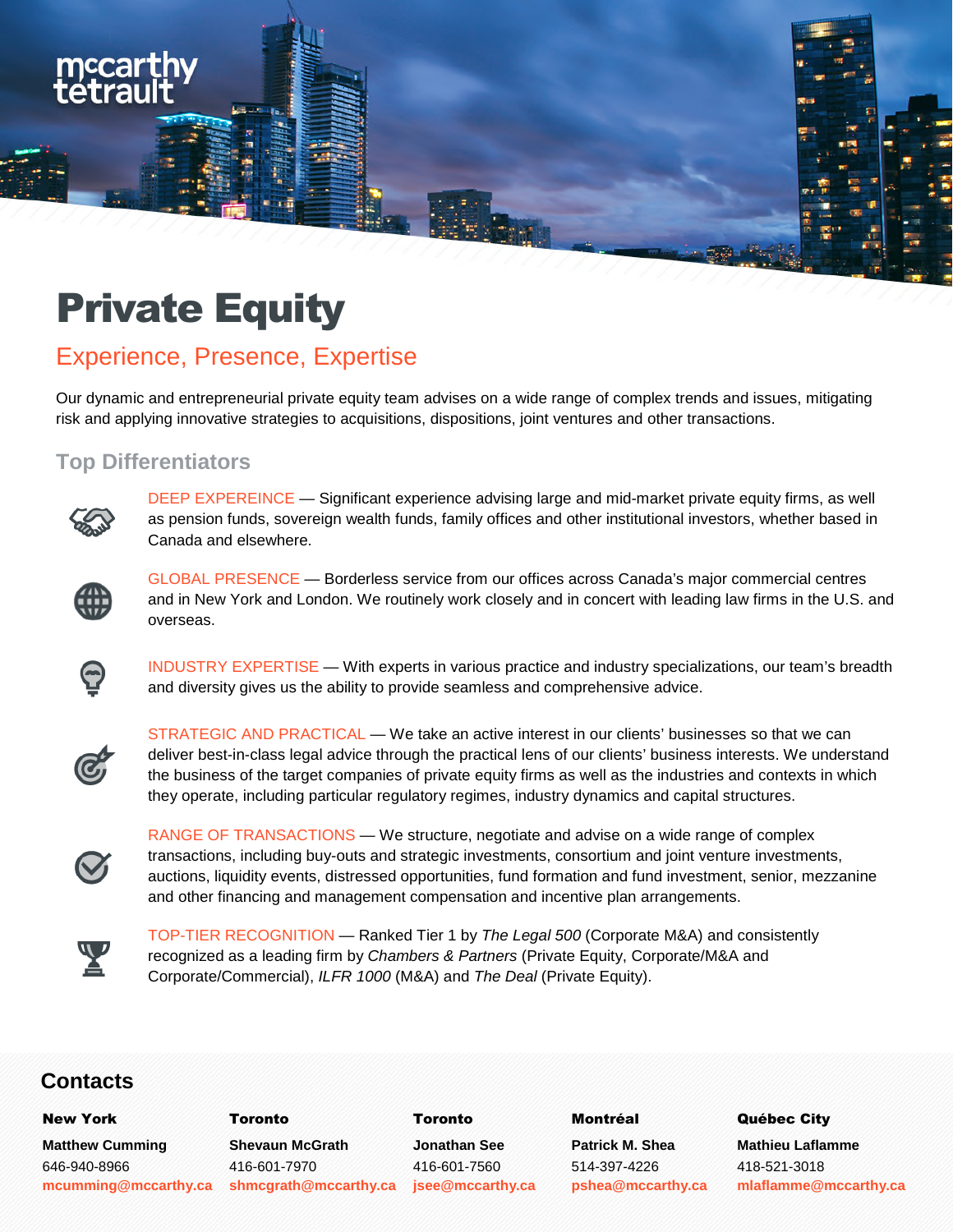

# Experience, Presence, Expertise

Our dynamic and entrepreneurial private equity team advises on a wide range of complex trends and issues, mitigating risk and applying innovative strategies to acquisitions, dispositions, joint ventures and other transactions.

#### **Top Differentiators**



mccar

DEEP EXPEREINCE — Significant experience advising large and mid-market private equity firms, as well as pension funds, sovereign wealth funds, family offices and other institutional investors, whether based in Canada and elsewhere.



GLOBAL PRESENCE — Borderless service from our offices across Canada's major commercial centres and in New York and London. We routinely work closely and in concert with leading law firms in the U.S. and overseas.



INDUSTRY EXPERTISE — With experts in various practice and industry specializations, our team's breadth and diversity gives us the ability to provide seamless and comprehensive advice.



STRATEGIC AND PRACTICAL — We take an active interest in our clients' businesses so that we can deliver best-in-class legal advice through the practical lens of our clients' business interests. We understand the business of the target companies of private equity firms as well as the industries and contexts in which they operate, including particular regulatory regimes, industry dynamics and capital structures.



RANGE OF TRANSACTIONS — We structure, negotiate and advise on a wide range of complex transactions, including buy-outs and strategic investments, consortium and joint venture investments, auctions, liquidity events, distressed opportunities, fund formation and fund investment, senior, mezzanine and other financing and management compensation and incentive plan arrangements.



TOP-TIER RECOGNITION — Ranked Tier 1 by *The Legal 500* (Corporate M&A) and consistently recognized as a leading firm by *Chambers & Partners* (Private Equity, Corporate/M&A and Corporate/Commercial), *ILFR 1000* (M&A) and *The Deal* (Private Equity).

### **Contacts**

**Matthew Cumming**  646-940-8966

**mcumming@mccarthy.ca** 

New York Toronto Toronto Montréal Québec City **Shevaun McGrath**  416-601-7970 **shmcgrath@mccarthy.ca** 

**Jonathan See**  416-601-7560 **jsee@mccarthy.ca** 

**Patrick M. Shea**  514-397-4226 **pshea@mccarthy.ca** 

**Mathieu Laflamme**  418-521-3018 **mlaflamme@mccarthy.ca**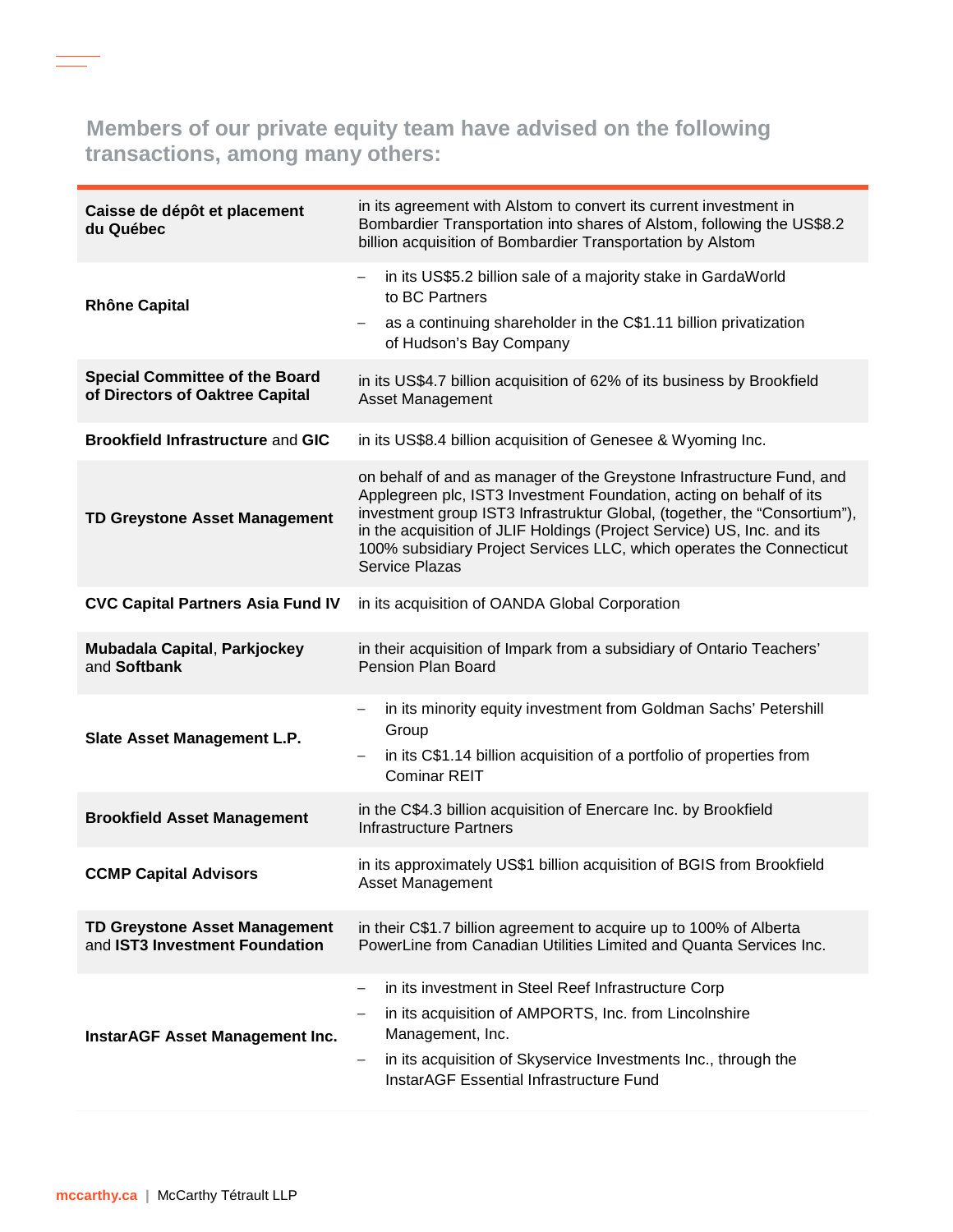# **Members of our private equity team have advised on the following transactions, among many others:**

| Caisse de dépôt et placement<br>du Québec                                | in its agreement with Alstom to convert its current investment in<br>Bombardier Transportation into shares of Alstom, following the US\$8.2<br>billion acquisition of Bombardier Transportation by Alstom                                                                                                                                                                                            |
|--------------------------------------------------------------------------|------------------------------------------------------------------------------------------------------------------------------------------------------------------------------------------------------------------------------------------------------------------------------------------------------------------------------------------------------------------------------------------------------|
| <b>Rhône Capital</b>                                                     | in its US\$5.2 billion sale of a majority stake in GardaWorld<br>$\overline{\phantom{m}}$<br>to BC Partners<br>as a continuing shareholder in the C\$1.11 billion privatization<br>of Hudson's Bay Company                                                                                                                                                                                           |
| <b>Special Committee of the Board</b><br>of Directors of Oaktree Capital | in its US\$4.7 billion acquisition of 62% of its business by Brookfield<br><b>Asset Management</b>                                                                                                                                                                                                                                                                                                   |
| <b>Brookfield Infrastructure and GIC</b>                                 | in its US\$8.4 billion acquisition of Genesee & Wyoming Inc.                                                                                                                                                                                                                                                                                                                                         |
| <b>TD Greystone Asset Management</b>                                     | on behalf of and as manager of the Greystone Infrastructure Fund, and<br>Applegreen plc, IST3 Investment Foundation, acting on behalf of its<br>investment group IST3 Infrastruktur Global, (together, the "Consortium"),<br>in the acquisition of JLIF Holdings (Project Service) US, Inc. and its<br>100% subsidiary Project Services LLC, which operates the Connecticut<br><b>Service Plazas</b> |
| <b>CVC Capital Partners Asia Fund IV</b>                                 | in its acquisition of OANDA Global Corporation                                                                                                                                                                                                                                                                                                                                                       |
| <b>Mubadala Capital, Parkjockey</b><br>and Softbank                      | in their acquisition of Impark from a subsidiary of Ontario Teachers'<br>Pension Plan Board                                                                                                                                                                                                                                                                                                          |
| Slate Asset Management L.P.                                              | in its minority equity investment from Goldman Sachs' Petershill<br>Group<br>in its C\$1.14 billion acquisition of a portfolio of properties from<br>$\qquad \qquad -$<br><b>Cominar REIT</b>                                                                                                                                                                                                        |
| <b>Brookfield Asset Management</b>                                       | in the C\$4.3 billion acquisition of Enercare Inc. by Brookfield<br><b>Infrastructure Partners</b>                                                                                                                                                                                                                                                                                                   |
| <b>CCMP Capital Advisors</b>                                             | in its approximately US\$1 billion acquisition of BGIS from Brookfield<br>Asset Management                                                                                                                                                                                                                                                                                                           |
| <b>TD Greystone Asset Management</b><br>and IST3 Investment Foundation   | in their C\$1.7 billion agreement to acquire up to 100% of Alberta<br>PowerLine from Canadian Utilities Limited and Quanta Services Inc.                                                                                                                                                                                                                                                             |
| InstarAGF Asset Management Inc.                                          | in its investment in Steel Reef Infrastructure Corp<br>$\overline{\phantom{m}}$<br>in its acquisition of AMPORTS, Inc. from Lincolnshire<br>Management, Inc.<br>in its acquisition of Skyservice Investments Inc., through the<br>$\qquad \qquad -$<br><b>InstarAGF Essential Infrastructure Fund</b>                                                                                                |

 $\overline{\phantom{a}}$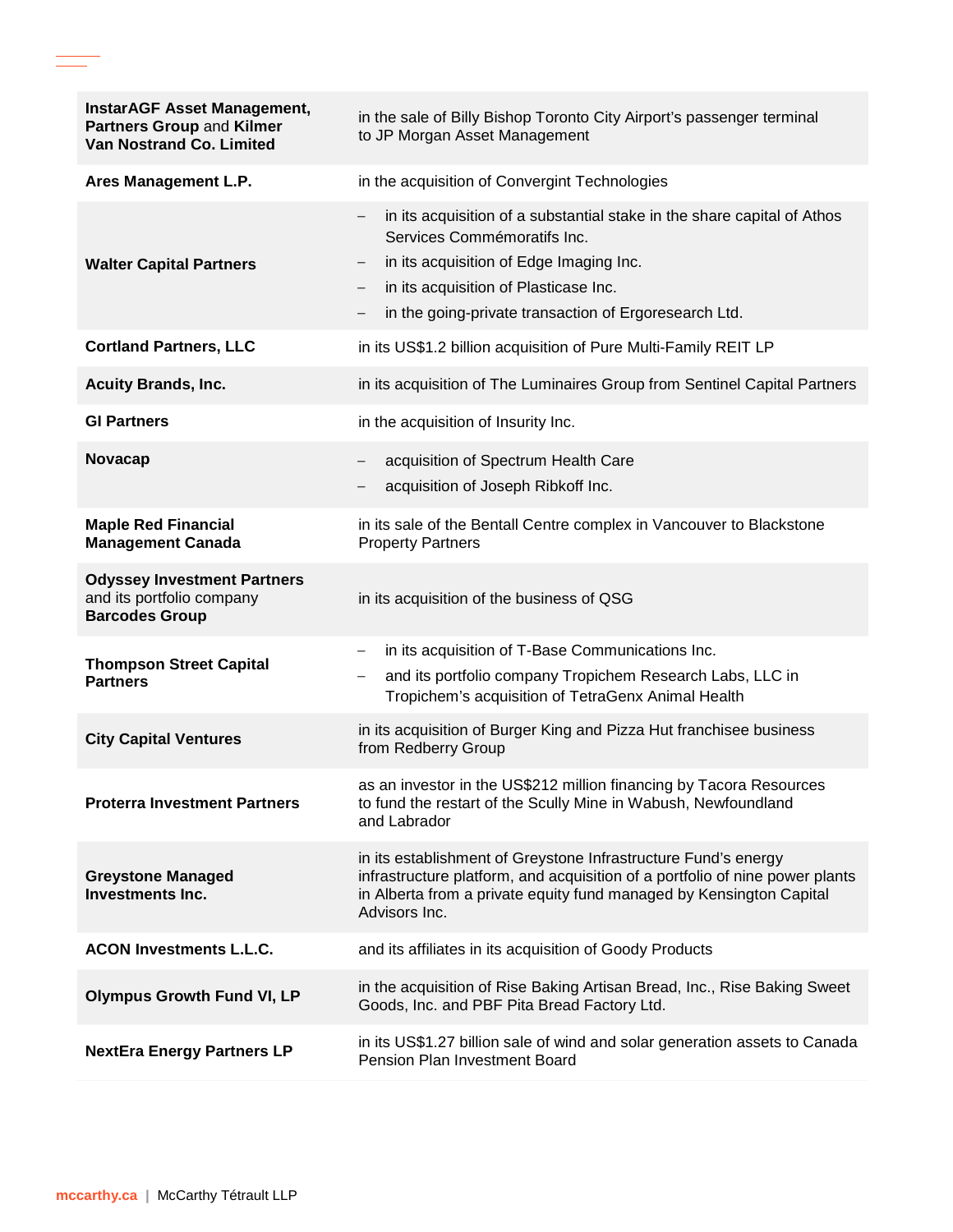| <b>InstarAGF Asset Management,</b><br>Partners Group and Kilmer<br><b>Van Nostrand Co. Limited</b> | in the sale of Billy Bishop Toronto City Airport's passenger terminal<br>to JP Morgan Asset Management                                                                                                                                                                                                      |
|----------------------------------------------------------------------------------------------------|-------------------------------------------------------------------------------------------------------------------------------------------------------------------------------------------------------------------------------------------------------------------------------------------------------------|
| Ares Management L.P.                                                                               | in the acquisition of Convergint Technologies                                                                                                                                                                                                                                                               |
| <b>Walter Capital Partners</b>                                                                     | in its acquisition of a substantial stake in the share capital of Athos<br>$-$<br>Services Commémoratifs Inc.<br>in its acquisition of Edge Imaging Inc.<br>in its acquisition of Plasticase Inc.<br>$\overline{\phantom{m}}$<br>in the going-private transaction of Ergoresearch Ltd.<br>$\qquad \qquad -$ |
| <b>Cortland Partners, LLC</b>                                                                      | in its US\$1.2 billion acquisition of Pure Multi-Family REIT LP                                                                                                                                                                                                                                             |
| <b>Acuity Brands, Inc.</b>                                                                         | in its acquisition of The Luminaires Group from Sentinel Capital Partners                                                                                                                                                                                                                                   |
| <b>GI Partners</b>                                                                                 | in the acquisition of Insurity Inc.                                                                                                                                                                                                                                                                         |
| <b>Novacap</b>                                                                                     | acquisition of Spectrum Health Care<br>$\qquad \qquad -$<br>acquisition of Joseph Ribkoff Inc.                                                                                                                                                                                                              |
| <b>Maple Red Financial</b><br><b>Management Canada</b>                                             | in its sale of the Bentall Centre complex in Vancouver to Blackstone<br><b>Property Partners</b>                                                                                                                                                                                                            |
| <b>Odyssey Investment Partners</b><br>and its portfolio company<br><b>Barcodes Group</b>           | in its acquisition of the business of QSG                                                                                                                                                                                                                                                                   |
| <b>Thompson Street Capital</b><br><b>Partners</b>                                                  | in its acquisition of T-Base Communications Inc.<br>$\overline{\phantom{m}}$<br>and its portfolio company Tropichem Research Labs, LLC in<br>$\overline{\phantom{0}}$<br>Tropichem's acquisition of TetraGenx Animal Health                                                                                 |
| <b>City Capital Ventures</b>                                                                       | in its acquisition of Burger King and Pizza Hut franchisee business<br>from Redberry Group                                                                                                                                                                                                                  |
| <b>Proterra Investment Partners</b>                                                                | as an investor in the US\$212 million financing by Tacora Resources<br>to fund the restart of the Scully Mine in Wabush, Newfoundland<br>and Labrador                                                                                                                                                       |
| <b>Greystone Managed</b><br><b>Investments Inc.</b>                                                | in its establishment of Greystone Infrastructure Fund's energy<br>infrastructure platform, and acquisition of a portfolio of nine power plants<br>in Alberta from a private equity fund managed by Kensington Capital<br>Advisors Inc.                                                                      |
| <b>ACON Investments L.L.C.</b>                                                                     | and its affiliates in its acquisition of Goody Products                                                                                                                                                                                                                                                     |
| <b>Olympus Growth Fund VI, LP</b>                                                                  | in the acquisition of Rise Baking Artisan Bread, Inc., Rise Baking Sweet<br>Goods, Inc. and PBF Pita Bread Factory Ltd.                                                                                                                                                                                     |
| <b>NextEra Energy Partners LP</b>                                                                  | in its US\$1.27 billion sale of wind and solar generation assets to Canada<br>Pension Plan Investment Board                                                                                                                                                                                                 |